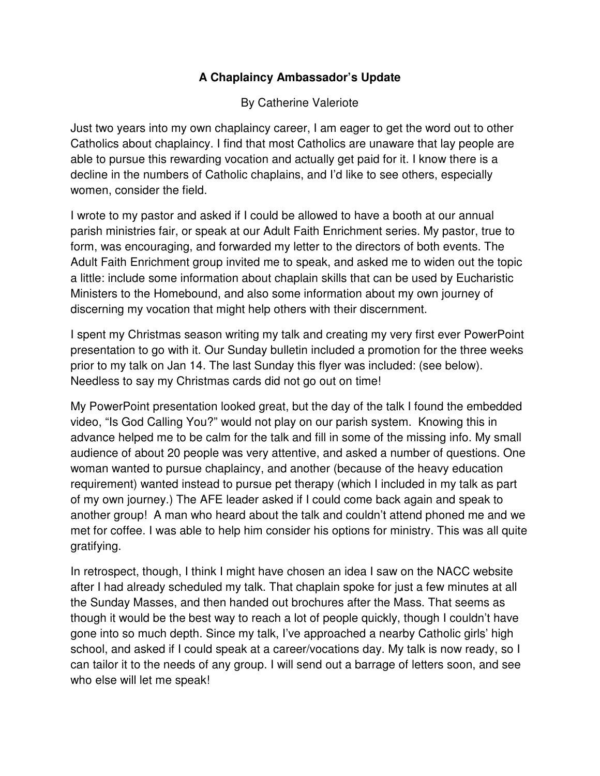## **A Chaplaincy Ambassador's Update**

### By Catherine Valeriote

Just two years into my own chaplaincy career, I am eager to get the word out to other Catholics about chaplaincy. I find that most Catholics are unaware that lay people are able to pursue this rewarding vocation and actually get paid for it. I know there is a decline in the numbers of Catholic chaplains, and I'd like to see others, especially women, consider the field.

I wrote to my pastor and asked if I could be allowed to have a booth at our annual parish ministries fair, or speak at our Adult Faith Enrichment series. My pastor, true to form, was encouraging, and forwarded my letter to the directors of both events. The Adult Faith Enrichment group invited me to speak, and asked me to widen out the topic a little: include some information about chaplain skills that can be used by Eucharistic Ministers to the Homebound, and also some information about my own journey of discerning my vocation that might help others with their discernment.

I spent my Christmas season writing my talk and creating my very first ever PowerPoint presentation to go with it. Our Sunday bulletin included a promotion for the three weeks prior to my talk on Jan 14. The last Sunday this flyer was included: (see below). Needless to say my Christmas cards did not go out on time!

My PowerPoint presentation looked great, but the day of the talk I found the embedded video, "Is God Calling You?" would not play on our parish system. Knowing this in advance helped me to be calm for the talk and fill in some of the missing info. My small audience of about 20 people was very attentive, and asked a number of questions. One woman wanted to pursue chaplaincy, and another (because of the heavy education requirement) wanted instead to pursue pet therapy (which I included in my talk as part of my own journey.) The AFE leader asked if I could come back again and speak to another group! A man who heard about the talk and couldn't attend phoned me and we met for coffee. I was able to help him consider his options for ministry. This was all quite gratifying.

In retrospect, though, I think I might have chosen an idea I saw on the NACC website after I had already scheduled my talk. That chaplain spoke for just a few minutes at all the Sunday Masses, and then handed out brochures after the Mass. That seems as though it would be the best way to reach a lot of people quickly, though I couldn't have gone into so much depth. Since my talk, I've approached a nearby Catholic girls' high school, and asked if I could speak at a career/vocations day. My talk is now ready, so I can tailor it to the needs of any group. I will send out a barrage of letters soon, and see who else will let me speak!